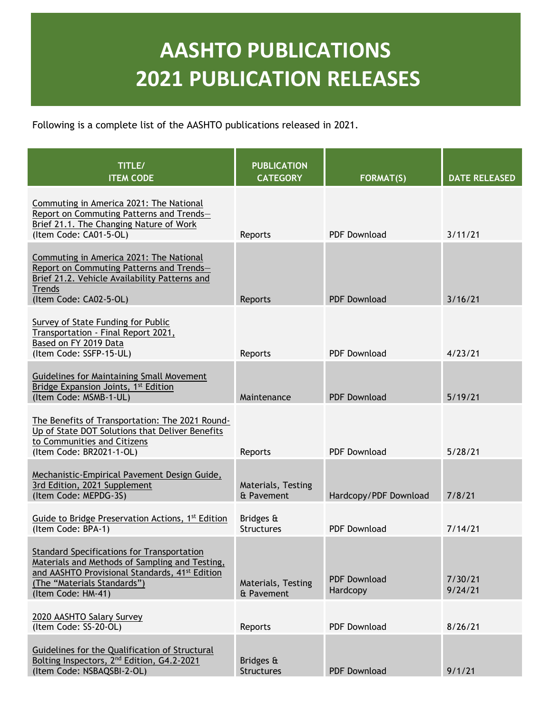## **AASHTO PUBLICATIONS 2021 PUBLICATION RELEASES**

Following is a complete list of the AASHTO publications released in 2021.

| <b>TITLE/</b><br><b>ITEM CODE</b>                                                                                                                                                                                      | <b>PUBLICATION</b><br><b>CATEGORY</b> | <b>FORMAT(S)</b>                           | <b>DATE RELEASED</b> |
|------------------------------------------------------------------------------------------------------------------------------------------------------------------------------------------------------------------------|---------------------------------------|--------------------------------------------|----------------------|
| Commuting in America 2021: The National<br>Report on Commuting Patterns and Trends-<br>Brief 21.1. The Changing Nature of Work<br>(Item Code: CA01-5-OL)                                                               | Reports                               | <b>PDF Download</b>                        | 3/11/21              |
| Commuting in America 2021: The National<br>Report on Commuting Patterns and Trends-<br>Brief 21.2. Vehicle Availability Patterns and<br><b>Trends</b>                                                                  |                                       |                                            |                      |
| (Item Code: CA02-5-OL)<br>Survey of State Funding for Public<br>Transportation - Final Report 2021,<br>Based on FY 2019 Data<br>(Item Code: SSFP-15-UL)                                                                | Reports<br>Reports                    | <b>PDF Download</b><br><b>PDF Download</b> | 3/16/21<br>4/23/21   |
| <b>Guidelines for Maintaining Small Movement</b><br>Bridge Expansion Joints, 1 <sup>st</sup> Edition<br>(Item Code: MSMB-1-UL)                                                                                         | Maintenance                           | <b>PDF Download</b>                        | 5/19/21              |
| The Benefits of Transportation: The 2021 Round-<br>Up of State DOT Solutions that Deliver Benefits<br>to Communities and Citizens<br>(Item Code: BR2021-1-OL)                                                          | Reports                               | <b>PDF Download</b>                        | 5/28/21              |
| Mechanistic-Empirical Pavement Design Guide,<br>3rd Edition, 2021 Supplement<br>(Item Code: MEPDG-3S)                                                                                                                  | Materials, Testing<br>& Pavement      | Hardcopy/PDF Download                      | 7/8/21               |
| Guide to Bridge Preservation Actions, 1st Edition<br>(Item Code: BPA-1)                                                                                                                                                | Bridges &<br><b>Structures</b>        | <b>PDF Download</b>                        | 7/14/21              |
| <b>Standard Specifications for Transportation</b><br>Materials and Methods of Sampling and Testing,<br>and AASHTO Provisional Standards, 41 <sup>st</sup> Edition<br>(The "Materials Standards")<br>(Item Code: HM-41) | Materials, Testing<br>& Pavement      | <b>PDF Download</b><br>Hardcopy            | 7/30/21<br>9/24/21   |
| 2020 AASHTO Salary Survey<br>(Item Code: SS-20-OL)                                                                                                                                                                     | Reports                               | <b>PDF Download</b>                        | 8/26/21              |
| Guidelines for the Qualification of Structural<br>Bolting Inspectors, 2 <sup>nd</sup> Edition, G4.2-2021<br>(Item Code: NSBAQSBI-2-OL)                                                                                 | Bridges &<br>Structures               | <b>PDF Download</b>                        | 9/1/21               |